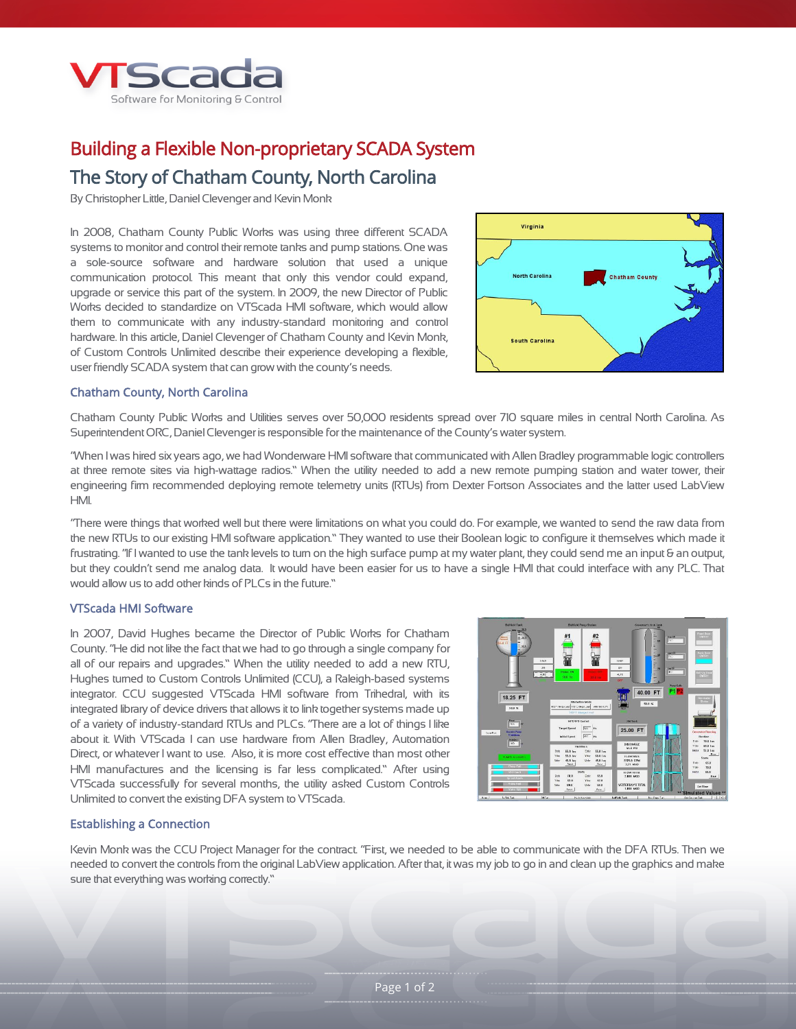

# Building a Flexible Non-proprietary SCADA System

## The Story of Chatham County, North Carolina

By Christopher Little, Daniel Clevenger and Kevin Monk

In 2008, Chatham County Public Works was using three different SCADA systems to monitor and control their remote tanks and pump stations. One was a sole-source software and hardware solution that used a unique communication protocol. This meant that only this vendor could expand, upgrade or service this part of the system. In 2009, the new Director of Public Works decided to standardize on VTScada HMI software, which would allow them to communicate with any industry-standard monitoring and control hardware. In this article, Daniel Clevenger of Chatham County and Kevin Monk, of Custom Controls Unlimited describe their experience developing a flexible, user friendly SCADA system that can grow with the county's needs.



#### Chatham County, North Carolina

Chatham County Public Works and Utilities serves over 50,000 residents spread over 710 square miles in central North Carolina. As Superintendent ORC, Daniel Clevenger is responsible for the maintenance of the County's water system.

"When I was hired six years ago, we had Wonderware HMI software that communicated with Allen Bradley programmable logic controllers at three remote sites via high-wattage radios." When the utility needed to add a new remote pumping station and water tower, their engineering firm recommended deploying remote telemetry units (RTUs) from Dexter Fortson Associates and the latter used LabView HMI.

"There were things that worked well but there were limitations on what you could do. For example, we wanted to send the raw data from the new RTUs to our existing HMI software application." They wanted to use their Boolean logic to configure it themselves which made it frustrating. "If I wanted to use the tank levels to turn on the high surface pump at my water plant, they could send me an input & an output, but they couldn't send me analog data. It would have been easier for us to have a single HMI that could interface with any PLC. That would allow us to add other kinds of PLCs in the future."

#### VTScada HMI Software

In 2007, David Hughes became the Director of Public Works for Chatham County. "He did not like the fact that we had to go through a single company for all of our repairs and upgrades." When the utility needed to add a new RTU, Hughes turned to Custom Controls Unlimited (CCU), a Raleigh-based systems integrator. CCU suggested VTScada HMI software from Trihedral, with its integrated library of device drivers that allows it to link together systems made up of a variety of industry-standard RTUs and PLCs. "There are a lot of things I like about it. With VTScada I can use hardware from Allen Bradley, Automation Direct, or whatever I want to use. Also, it is more cost effective than most other HMI manufactures and the licensing is far less complicated." After using VTScada successfully for several months, the utility asked Custom Controls Unlimited to convert the existing DFA system to VTScada.



#### Establishing a Connection

Kevin Monk was the CCU Project Manager for the contract. "First, we needed to be able to communicate with the DFA RTUs. Then we needed to convert the controls from the original LabView application. After that, it was my job to go in and clean up the graphics and make sure that everything was working correctly."

Page 1 of 2